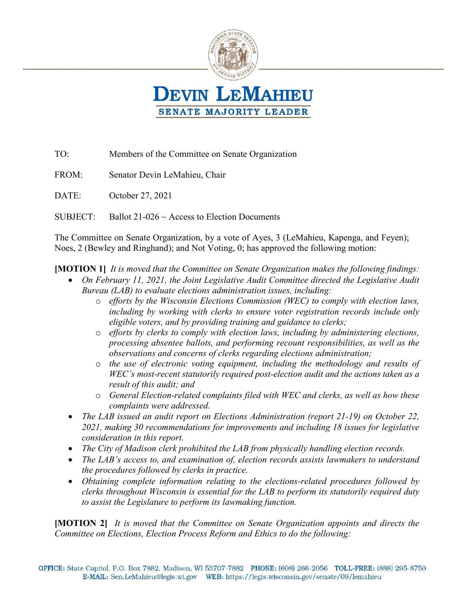

TO: Members of the Committee on Senate Organization FROM: Senator Devin LeMahieu, Chair DATE: October 27, 2021 SUBJECT: Ballot  $21-026 \sim$  Access to Election Documents

The Committee on Senate Organization, by a vote of Ayes, 3 (LeMahieu, Kapenga, and Feyen); Noes, 2 (Bewley and Ringhand); and Not Voting, 0; has approved the following motion:

**[MOTION 1]** *It is moved that the Committee on Senate Organization makes the following findings:*

- On February 11, 2021, the Joint Legislative Audit Committee directed the Legislative Audit *Bureau (LAB) to evaluate elections administration issues, including:*
	- o *efforts by the Wisconsin Elections Commission (WEC) to comply with election laws, including by working with clerks to ensure voter registration records include only eligible voters, and by providing training and guidance to clerks;*
	- o *efforts by clerks to comply with election laws, including by administering elections, processing absentee ballots, and performing recount responsibilities, as well as the observations and concerns of clerks regarding elections administration;*
	- o *the use of electronic voting equipment, including the methodology and results of WEC's most-recent statutorily required post-election audit and the actions taken as a result of this audit; and*
	- o *General Election-related complaints filed with WEC and clerks, as well as how these complaints were addressed.*
- *The LAB issued an audit report on Elections Administration (report 21-19) on October 22, 2021, making 30 recommendations for improvements and including 18 issues for legislative consideration in this report.*
- *The City of Madison clerk prohibited the LAB from physically handling election records.*
- The LAB's access to, and examination of, election records assists lawmakers to understand *the procedures followed by clerks in practice.*
- *Obtaining complete information relating to the elections-related procedures followed by clerks throughout Wisconsin is essential for the LAB to perform its statutorily required duty to assist the Legislature to perform its lawmaking function.*

**[MOTION 2]** *It is moved that the Committee on Senate Organization appoints and directs the Committee on Elections, Election Process Reform and Ethics to do the following:*